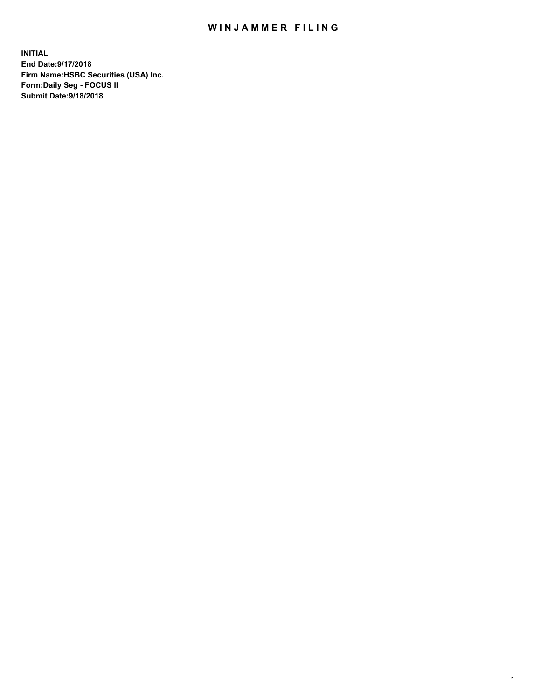## WIN JAMMER FILING

**INITIAL End Date:9/17/2018 Firm Name:HSBC Securities (USA) Inc. Form:Daily Seg - FOCUS II Submit Date:9/18/2018**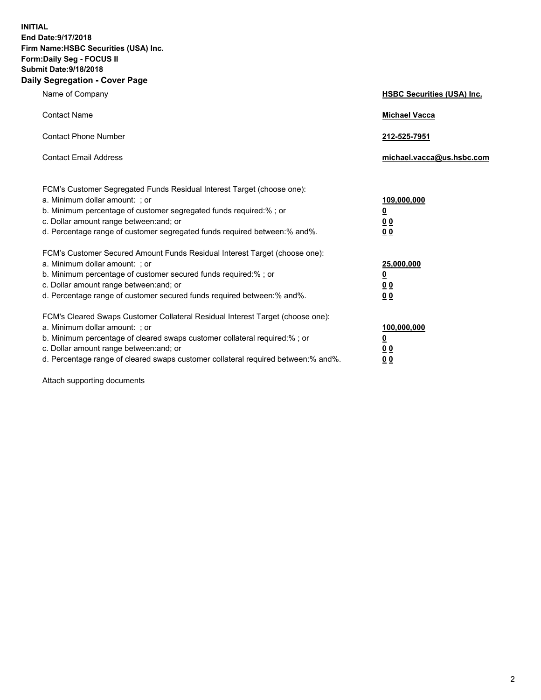**INITIAL End Date:9/17/2018 Firm Name:HSBC Securities (USA) Inc. Form:Daily Seg - FOCUS II Submit Date:9/18/2018 Daily Segregation - Cover Page**

| Name of Company                                                                                                                                                                                                                                                                                                                | <b>HSBC Securities (USA) Inc.</b>                                          |
|--------------------------------------------------------------------------------------------------------------------------------------------------------------------------------------------------------------------------------------------------------------------------------------------------------------------------------|----------------------------------------------------------------------------|
| <b>Contact Name</b>                                                                                                                                                                                                                                                                                                            | <b>Michael Vacca</b>                                                       |
| <b>Contact Phone Number</b>                                                                                                                                                                                                                                                                                                    | 212-525-7951                                                               |
| <b>Contact Email Address</b>                                                                                                                                                                                                                                                                                                   | michael.vacca@us.hsbc.com                                                  |
| FCM's Customer Segregated Funds Residual Interest Target (choose one):<br>a. Minimum dollar amount: : or<br>b. Minimum percentage of customer segregated funds required:% ; or<br>c. Dollar amount range between: and; or<br>d. Percentage range of customer segregated funds required between:% and%.                         | 109,000,000<br>$\overline{\mathbf{0}}$<br>0 <sub>0</sub><br>0 <sub>0</sub> |
| FCM's Customer Secured Amount Funds Residual Interest Target (choose one):<br>a. Minimum dollar amount: ; or<br>b. Minimum percentage of customer secured funds required:%; or<br>c. Dollar amount range between: and; or<br>d. Percentage range of customer secured funds required between:% and%.                            | 25,000,000<br>$\overline{\mathbf{0}}$<br>0 <sub>0</sub><br>0 <sub>0</sub>  |
| FCM's Cleared Swaps Customer Collateral Residual Interest Target (choose one):<br>a. Minimum dollar amount: ; or<br>b. Minimum percentage of cleared swaps customer collateral required:% ; or<br>c. Dollar amount range between: and; or<br>d. Percentage range of cleared swaps customer collateral required between:% and%. | 100,000,000<br>$\overline{\mathbf{0}}$<br>0 <sub>0</sub><br>0 <sub>0</sub> |

Attach supporting documents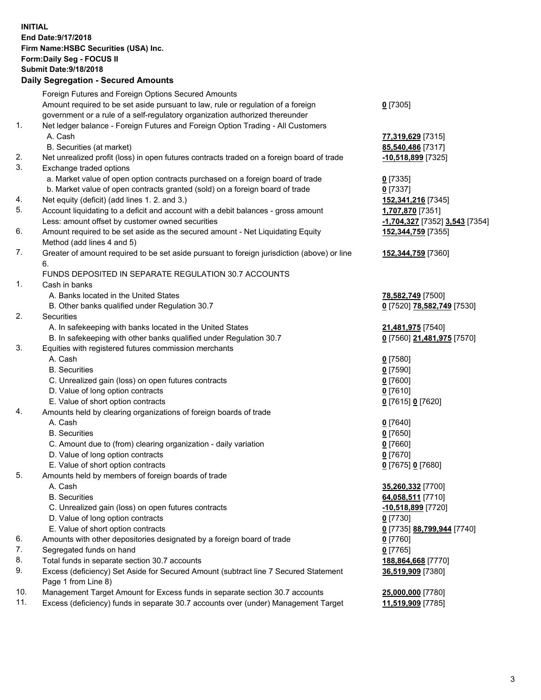**INITIAL End Date:9/17/2018 Firm Name:HSBC Securities (USA) Inc. Form:Daily Seg - FOCUS II Submit Date:9/18/2018 Daily Segregation - Secured Amounts** Foreign Futures and Foreign Options Secured Amounts Amount required to be set aside pursuant to law, rule or regulation of a foreign government or a rule of a self-regulatory organization authorized thereunder **0** [7305] 1. Net ledger balance - Foreign Futures and Foreign Option Trading - All Customers A. Cash **77,319,629** [7315] B. Securities (at market) **85,540,486** [7317] 2. Net unrealized profit (loss) in open futures contracts traded on a foreign board of trade **-10,518,899** [7325] 3. Exchange traded options a. Market value of open option contracts purchased on a foreign board of trade **0** [7335] b. Market value of open contracts granted (sold) on a foreign board of trade **0** [7337] 4. Net equity (deficit) (add lines 1. 2. and 3.) **152,341,216** [7345] 5. Account liquidating to a deficit and account with a debit balances - gross amount **1,707,870** [7351] Less: amount offset by customer owned securities **-1,704,327** [7352] **3,543** [7354] 6. Amount required to be set aside as the secured amount - Net Liquidating Equity Method (add lines 4 and 5) **152,344,759** [7355] 7. Greater of amount required to be set aside pursuant to foreign jurisdiction (above) or line 6. **152,344,759** [7360] FUNDS DEPOSITED IN SEPARATE REGULATION 30.7 ACCOUNTS 1. Cash in banks A. Banks located in the United States **78,582,749** [7500] B. Other banks qualified under Regulation 30.7 **0** [7520] **78,582,749** [7530] 2. Securities A. In safekeeping with banks located in the United States **21,481,975** [7540] B. In safekeeping with other banks qualified under Regulation 30.7 **0** [7560] **21,481,975** [7570] 3. Equities with registered futures commission merchants A. Cash **0** [7580] B. Securities **0** [7590] C. Unrealized gain (loss) on open futures contracts **0** [7600] D. Value of long option contracts **0** [7610] E. Value of short option contracts **0** [7615] **0** [7620] 4. Amounts held by clearing organizations of foreign boards of trade A. Cash **0** [7640] B. Securities **0** [7650] C. Amount due to (from) clearing organization - daily variation **0** [7660] D. Value of long option contracts **0** [7670] E. Value of short option contracts **0** [7675] **0** [7680] 5. Amounts held by members of foreign boards of trade A. Cash **35,260,332** [7700] B. Securities **64,058,511** [7710] C. Unrealized gain (loss) on open futures contracts **-10,518,899** [7720] D. Value of long option contracts **0** [7730] E. Value of short option contracts **0** [7735] **88,799,944** [7740] 6. Amounts with other depositories designated by a foreign board of trade **0** [7760] 7. Segregated funds on hand **0** [7765] 8. Total funds in separate section 30.7 accounts **188,864,668** [7770] 9. Excess (deficiency) Set Aside for Secured Amount (subtract line 7 Secured Statement Page 1 from Line 8) **36,519,909** [7380]

10. Management Target Amount for Excess funds in separate section 30.7 accounts **25,000,000** [7780]

11. Excess (deficiency) funds in separate 30.7 accounts over (under) Management Target **11,519,909** [7785]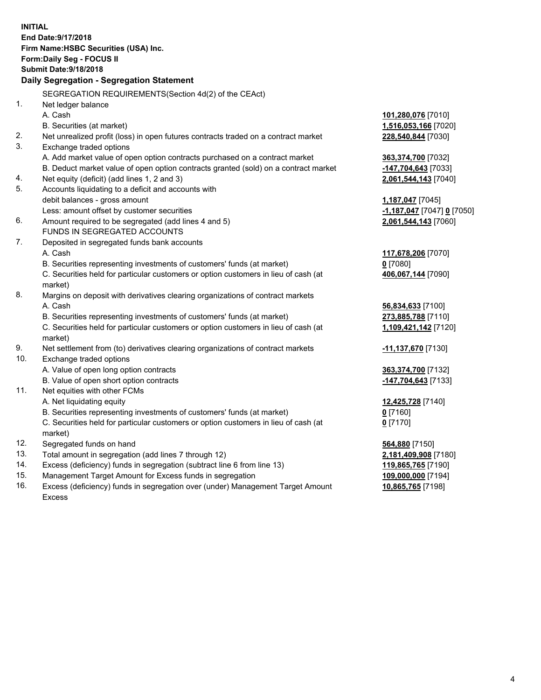|     | <b>INITIAL</b><br>End Date: 9/17/2018                                               |                                        |
|-----|-------------------------------------------------------------------------------------|----------------------------------------|
|     | Firm Name: HSBC Securities (USA) Inc.                                               |                                        |
|     | <b>Form:Daily Seg - FOCUS II</b>                                                    |                                        |
|     | <b>Submit Date: 9/18/2018</b>                                                       |                                        |
|     | Daily Segregation - Segregation Statement                                           |                                        |
|     | SEGREGATION REQUIREMENTS (Section 4d(2) of the CEAct)                               |                                        |
| 1.  | Net ledger balance                                                                  |                                        |
|     | A. Cash                                                                             | 101,280,076 [7010]                     |
|     | B. Securities (at market)                                                           | 1,516,053,166 [7020]                   |
| 2.  | Net unrealized profit (loss) in open futures contracts traded on a contract market  | 228,540,844 [7030]                     |
| 3.  | Exchange traded options                                                             |                                        |
|     | A. Add market value of open option contracts purchased on a contract market         | <u>363,374,700</u> [7032]              |
|     | B. Deduct market value of open option contracts granted (sold) on a contract market | -147,704,643 [7033]                    |
| 4.  | Net equity (deficit) (add lines 1, 2 and 3)                                         | 2,061,544,143 [7040]                   |
| 5.  | Accounts liquidating to a deficit and accounts with                                 |                                        |
|     | debit balances - gross amount                                                       | 1,187,047 [7045]                       |
|     | Less: amount offset by customer securities                                          | -1,187,047 [7047] 0 [7050]             |
| 6.  | Amount required to be segregated (add lines 4 and 5)                                | 2,061,544,143 [7060]                   |
|     | FUNDS IN SEGREGATED ACCOUNTS                                                        |                                        |
| 7.  | Deposited in segregated funds bank accounts                                         |                                        |
|     | A. Cash                                                                             | 117,678,206 [7070]                     |
|     | B. Securities representing investments of customers' funds (at market)              | $0$ [7080]                             |
|     | C. Securities held for particular customers or option customers in lieu of cash (at | 406,067,144 [7090]                     |
|     | market)                                                                             |                                        |
| 8.  | Margins on deposit with derivatives clearing organizations of contract markets      |                                        |
|     | A. Cash                                                                             | 56,834,633 [7100]                      |
|     | B. Securities representing investments of customers' funds (at market)              | 273,885,788 [7110]                     |
|     | C. Securities held for particular customers or option customers in lieu of cash (at | 1,109,421,142 [7120]                   |
|     | market)                                                                             |                                        |
| 9.  | Net settlement from (to) derivatives clearing organizations of contract markets     | <u>-11,137,670</u> [7130]              |
| 10. | Exchange traded options                                                             |                                        |
|     | A. Value of open long option contracts                                              | 363,374,700 [7132]                     |
|     | B. Value of open short option contracts                                             | -147,704,643 [7133]                    |
| 11. | Net equities with other FCMs                                                        |                                        |
|     | A. Net liquidating equity                                                           | 12,425,728 [7140]                      |
|     | B. Securities representing investments of customers' funds (at market)              | $0$ [7160]                             |
|     | C. Securities held for particular customers or option customers in lieu of cash (at | $0$ [7170]                             |
| 12. | market)<br>Segregated funds on hand                                                 |                                        |
| 13. | Total amount in segregation (add lines 7 through 12)                                | 564,880 [7150]<br>2,181,409,908 [7180] |
| 14. | Excess (deficiency) funds in segregation (subtract line 6 from line 13)             | 119,865,765 [7190]                     |
| 15. | Management Target Amount for Excess funds in segregation                            |                                        |
|     |                                                                                     | 109,000,000 [7194]                     |

16. Excess (deficiency) funds in segregation over (under) Management Target Amount Excess

**10,865,765** [7198]